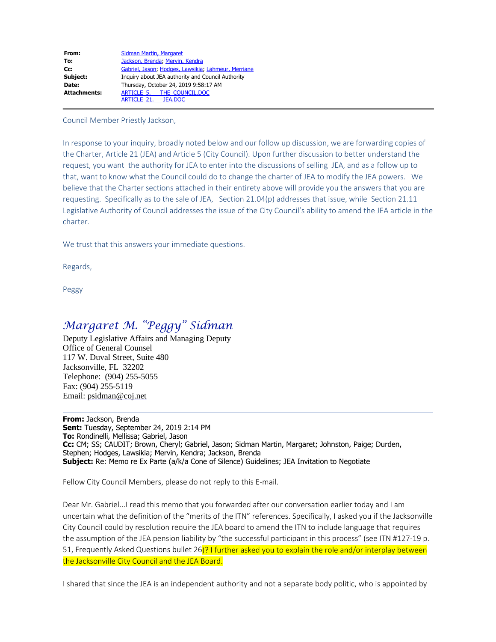| From:               | Sidman Martin, Margaret                             |
|---------------------|-----------------------------------------------------|
| To:                 | Jackson, Brenda; Mervin, Kendra                     |
| Cc:                 | Gabriel, Jason; Hodges, Lawsikia; Lahmeur, Merriane |
| Subject:            | Inquiry about JEA authority and Council Authority   |
| Date:               | Thursday, October 24, 2019 9:58:17 AM               |
| <b>Attachments:</b> | ARTICLE 5. THE COUNCIL.DOC                          |
|                     | ARTICLE 21. JEA.DOC                                 |

Council Member Priestly Jackson,

In response to your inquiry, broadly noted below and our follow up discussion, we are forwarding copies of the Charter, Article 21 (JEA) and Article 5 (City Council). Upon further discussion to better understand the request, you want the authority for JEA to enter into the discussions of selling JEA, and as a follow up to that, want to know what the Council could do to change the charter of JEA to modify the JEA powers. We believe that the Charter sections attached in their entirety above will provide you the answers that you are requesting. Specifically as to the sale of JEA, Section  $21.04(p)$  addresses that issue, while Section  $21.11$ Legislative Authority of Council addresses the issue of the City Council's ability to amend the JEA article in the charter

We trust that this answers your immediate questions.

Regards,

Peggy

## Margaret M. "Peggy" Sidman

Deputy Legislative Affairs and Managing Deputy Office of General Counsel 117 W. Duval Street, Suite 480 Jacksonville, FL 32202 Telephone: (904) 255-5055 Fax: (904) 255-5119 Email: psidman@coj.net

From: Jackson, Brenda Sent: Tuesday, September 24, 2019 2:14 PM To: Rondinelli, Mellissa; Gabriel, Jason Cc: CM; SS; CAUDIT; Brown, Cheryl; Gabriel, Jason; Sidman Martin, Margaret; Johnston, Paige; Durden, Stephen; Hodges, Lawsikia; Mervin, Kendra; Jackson, Brenda Subject: Re: Memo re Ex Parte (a/k/a Cone of Silence) Guidelines; JEA Invitation to Negotiate

Fellow City Council Members, please do not reply to this E-mail.

Dear Mr. Gabriel... I read this memo that you forwarded after our conversation earlier today and I am uncertain what the definition of the "merits of the ITN" references. Specifically, I asked you if the Jacksonville City Council could by resolution require the JEA board to amend the ITN to include language that requires the assumption of the JEA pension liability by "the successful participant in this process" (see ITN #127-19 p. 51, Frequently Asked Questions bullet 26)? I further asked you to explain the role and/or interplay between the Jacksonville City Council and the JEA Board.

I shared that since the JEA is an independent authority and not a separate body politic, who is appointed by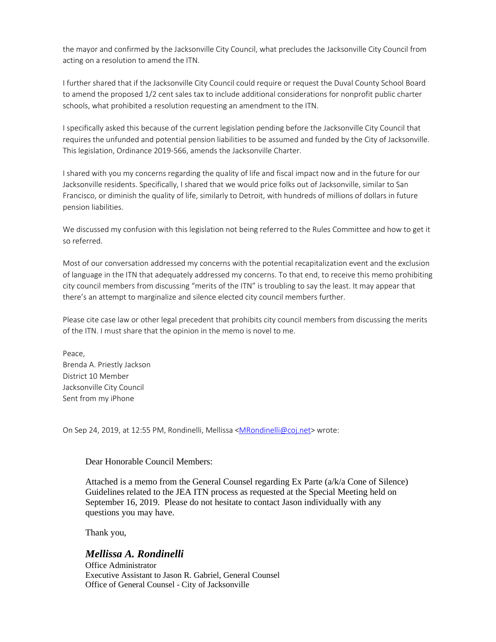the mayor and confirmed by the Jacksonville City Council, what precludes the Jacksonville City Council from acting on a resolution to amend the ITN.

I further shared that if the Jacksonville City Council could require or request the Duval County School Board to amend the proposed 1/2 cent sales tax to include additional considerations for nonprofit public charter schools, what prohibited a resolution requesting an amendment to the ITN.

I specifically asked this because of the current legislation pending before the Jacksonville City Council that requires the unfunded and potential pension liabilities to be assumed and funded by the City of Jacksonville. This legislation, Ordinance 2019-566, amends the Jacksonville Charter.

I shared with you my concerns regarding the quality of life and fiscal impact now and in the future for our Jacksonville residents. Specifically, I shared that we would price folks out of Jacksonville, similar to San Francisco, or diminish the quality of life, similarly to Detroit, with hundreds of millions of dollars in future pension liabilities.

We discussed my confusion with this legislation not being referred to the Rules Committee and how to get it so referred.

Most of our conversation addressed my concerns with the potential recapitalization event and the exclusion of language in the ITN that adequately addressed my concerns. To that end, to receive this memo prohibiting city council members from discussing "merits of the ITN" is troubling to say the least. It may appear that there's an attempt to marginalize and silence elected city council members further.

Please cite case law or other legal precedent that prohibits city council members from discussing the merits of the ITN. I must share that the opinion in the memo is novel to me.

Peace. Brenda A. Priestly Jackson District 10 Member Jacksonville City Council Sent from my iPhone

On Sep 24, 2019, at 12:55 PM, Rondinelli, Mellissa <MRondinelli@coj.net> wrote:

Dear Honorable Council Members:

Attached is a memo from the General Counsel regarding Ex Parte (a/k/a Cone of Silence) Guidelines related to the JEA ITN process as requested at the Special Meeting held on September 16, 2019. Please do not hesitate to contact Jason individually with any questions you may have.

Thank you,

## *Mellissa A. Rondinelli*

Office Administrator Executive Assistant to Jason R. Gabriel, General Counsel Office of General Counsel - City of Jacksonville